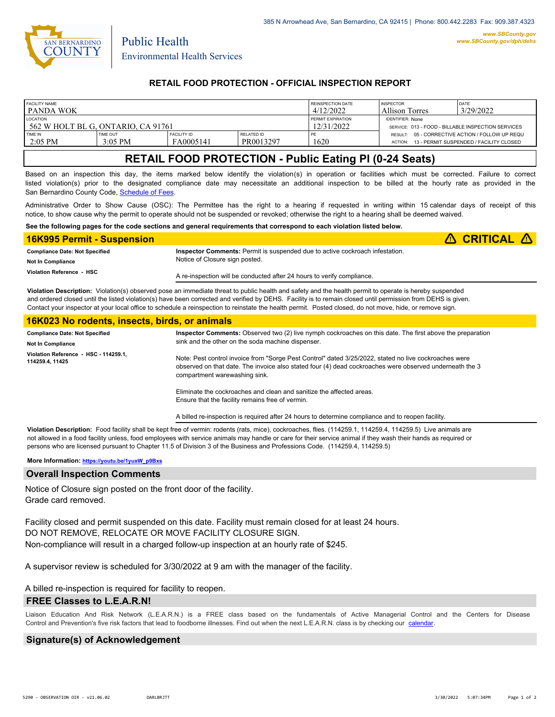

Public Health

## **RETAIL FOOD PROTECTION - OFFICIAL INSPECTION REPORT**

| <b>FACILITY NAME</b>               |                       |                                 |                         | REINSPECTION DATE        | <b>INSPECTOR</b>                                           | DATE                                    |
|------------------------------------|-----------------------|---------------------------------|-------------------------|--------------------------|------------------------------------------------------------|-----------------------------------------|
| l panda wok                        |                       |                                 |                         | 4/12/2022                | <b>Allison Torres</b>                                      | 3/29/2022                               |
| <b>LOCATION</b>                    |                       |                                 |                         | <b>FERMIT EXPIRATION</b> | <b>IDENTIFIER: None</b>                                    |                                         |
| 562 W HOLT BL G. ONTARIO. CA 91761 |                       |                                 |                         | 12/31/2022               | SERVICE: 013 - FOOD - BILLABLE INSPECTION SERVICES         |                                         |
| TIME IN<br>$2:05$ PM               | TIME OUT<br>$3:05$ PM | <b>FACILITY ID</b><br>FA0005141 | RELATED ID<br>PR0013297 | 1620                     | RESULT: 05 - CORRECTIVE ACTION / FOLLOW UP REQU<br>ACTION: | 13 - PERMIT SUSPENDED / FACILITY CLOSED |

# **RETAIL FOOD PROTECTION - Public Eating Pl (0-24 Seats)**

Based on an inspection this day, the items marked below identify the violation(s) in operation or facilities which must be corrected. Failure to correct listed violation(s) prior to the designated compliance date may necessitate an additional inspection to be billed at the hourly rate as provided in the San Bernardino County Code, Schedule of Fees

Administrative Order to Show Cause (OSC): The Permittee has the right to a hearing if requested in writing within 15 calendar days of receipt of this notice, to show cause why the permit to operate should not be suspended or revoked; otherwise the right to a hearing shall be deemed waived.

#### **See the following pages for the code sections and general requirements that correspond to each violation listed below.**

| <b>16K995 Permit - Suspension</b>     |                                                                                     | $\triangle$ CRITICAL $\triangle$ |
|---------------------------------------|-------------------------------------------------------------------------------------|----------------------------------|
| <b>Compliance Date: Not Specified</b> | <b>Inspector Comments:</b> Permit is suspended due to active cockroach infestation. |                                  |
| <b>Not In Compliance</b>              | Notice of Closure sign posted.                                                      |                                  |
| Violation Reference - HSC             | A re-inspection will be conducted after 24 hours to verify compliance.              |                                  |

**Violation Description:** Violation(s) observed pose an immediate threat to public health and safety and the health permit to operate is hereby suspended and ordered closed until the listed violation(s) have been corrected and verified by DEHS. Facility is to remain closed until permission from DEHS is given. Contact your inspector at your local office to schedule a reinspection to reinstate the health permit. Posted closed, do not move, hide, or remove sign.

### **16K023 No rodents, insects, birds, or animals**

| <b>Compliance Date: Not Specified</b><br><b>Not In Compliance</b> | Inspector Comments: Observed two (2) live nymph cockroaches on this date. The first above the preparation<br>sink and the other on the soda machine dispenser.                                                                                                                                                            |  |
|-------------------------------------------------------------------|---------------------------------------------------------------------------------------------------------------------------------------------------------------------------------------------------------------------------------------------------------------------------------------------------------------------------|--|
| Violation Reference HSC - 114259.1.<br>114259.4, 11425            | Note: Pest control invoice from "Sorge Pest Control" dated 3/25/2022, stated no live cockroaches were<br>observed on that date. The invoice also stated four (4) dead cockroaches were observed underneath the 3<br>compartment warewashing sink.<br>Eliminate the cockroaches and clean and sanitize the affected areas. |  |
|                                                                   | Ensure that the facility remains free of vermin.                                                                                                                                                                                                                                                                          |  |

A billed re-inspection is required after 24 hours to determine compliance and to reopen facility.

**Violation Description:** Food facility shall be kept free of vermin: rodents (rats, mice), cockroaches, flies. (114259.1, 114259.4, 114259.5) Live animals are not allowed in a food facility unless, food employees with service animals may handle or care for their service animal if they wash their hands as required or persons who are licensed pursuant to Chapter 11.5 of Division 3 of the Business and Professions Code. (114259.4, 114259.5)

#### **More Information: [https://youtu.be/1yuxW\\_p9Bxs](https://youtu.be/1yuxW_p9Bxs)**

#### **Overall Inspection Comments**

Notice of Closure sign posted on the front door of the facility. Grade card removed.

Facility closed and permit suspended on this date. Facility must remain closed for at least 24 hours. DO NOT REMOVE, RELOCATE OR MOVE FACILITY CLOSURE SIGN. Non-compliance will result in a charged follow-up inspection at an hourly rate of \$245.

A supervisor review is scheduled for 3/30/2022 at 9 am with the manager of the facility.

A billed re-inspection is required for facility to reopen.

### **FREE Classes to L.E.A.R.N!**

Liaison Education And Risk Network (L.E.A.R.N.) is a FREE class based on the fundamentals of Active Managerial Control and [the Centers](http://wp.sbcounty.gov/dph/events/) for Disease Control and Prevention's five risk factors that lead to foodborne illnesses. Find out when the next L.E.A.R.N. class is by checking our calendar.

## **Signature(s) of Acknowledgement**